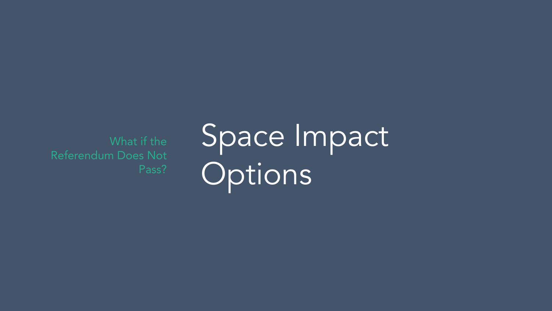What if the Referendum Does Not Pass?

# Space Impact **Options**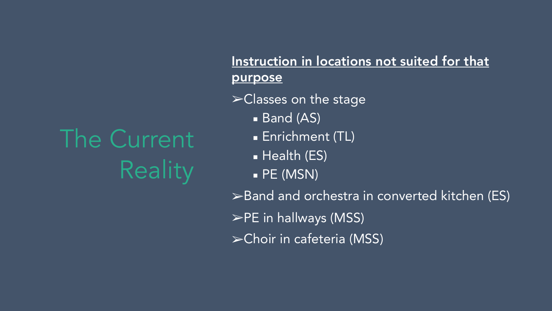### The Current **Reality**

Instruction in locations not suited for that purpose

➢Classes on the stage

- **Band (AS)**
- **Enrichment (TL)**
- **E** Health (ES)
- $\blacksquare$  PE (MSN)

➢Band and orchestra in converted kitchen (ES) ➢PE in hallways (MSS) ➢Choir in cafeteria (MSS)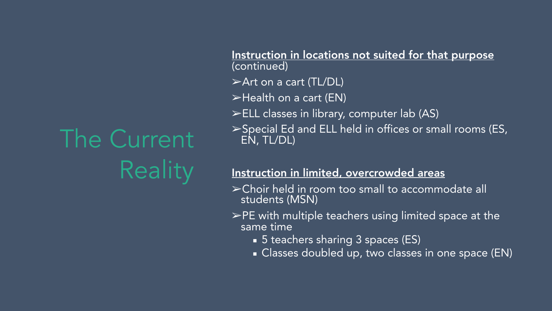### The Current **Reality**

Instruction in locations not suited for that purpose (continued)

- ➢Art on a cart (TL/DL)
- ➢Health on a cart (EN)
- ➢ELL classes in library, computer lab (AS)

➢Special Ed and ELL held in offices or small rooms (ES, EN, TL/DL)

#### Instruction in limited, overcrowded areas

- ➢Choir held in room too small to accommodate all students (MSN)
- $\blacktriangleright$ PE with multiple teachers using limited space at the same time
	- 5 teachers sharing 3 spaces (ES)
	- **Example 2 Classes doubled up, two classes in one space (EN)**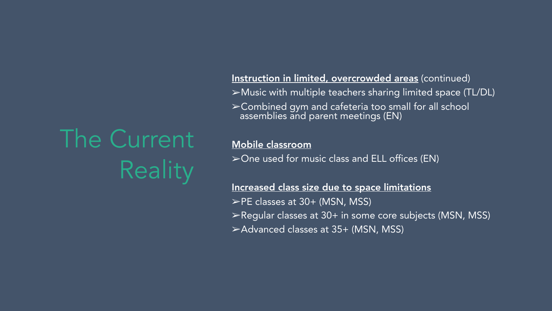### The Current **Reality**

#### Instruction in limited, overcrowded areas (continued)

- ➢Music with multiple teachers sharing limited space (TL/DL)
- ➢Combined gym and cafeteria too small for all school assemblies and parent meetings (EN)

#### Mobile classroom

➢One used for music class and ELL offices (EN)

#### Increased class size due to space limitations

- $\blacktriangleright$ PE classes at 30+ (MSN, MSS)
- ➢Regular classes at 30+ in some core subjects (MSN, MSS)
- ➢Advanced classes at 35+ (MSN, MSS)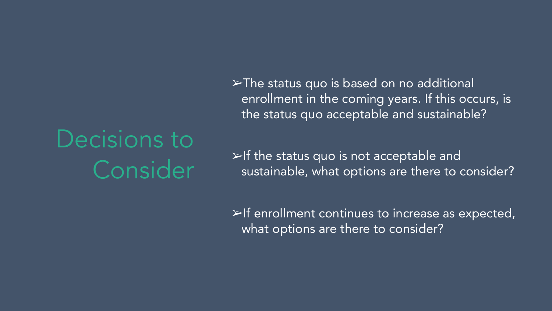## Decisions to Consider

➢The status quo is based on no additional enrollment in the coming years. If this occurs, is the status quo acceptable and sustainable?

 $\triangleright$ If the status quo is not acceptable and sustainable, what options are there to consider?

 $\blacktriangleright$ If enrollment continues to increase as expected, what options are there to consider?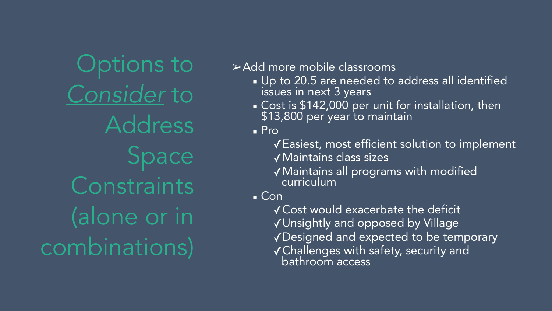Options to *Consider* to Address Space **Constraints** (alone or in combinations)

➢Add more mobile classrooms

- **.** Up to 20.5 are needed to address all identified issues in next 3 years
- **Cost is \$142,000 per unit for installation, then** \$13,800 per year to maintain

■ Pro

- ✓Easiest, most efficient solution to implement ✓Maintains class sizes
- ✓Maintains all programs with modified curriculum

 $\blacksquare$  Con

✓Cost would exacerbate the deficit ✓Unsightly and opposed by Village ✓Designed and expected to be temporary ✓Challenges with safety, security and bathroom access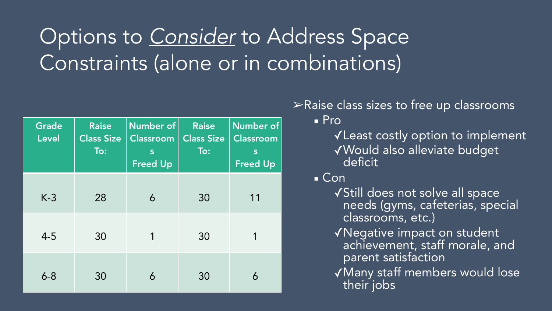### Options to *Consider* to Address Space Constraints (alone or in combinations)

| <b>Grade</b><br><b>Level</b> | <b>Raise</b><br><b>Class Size</b><br>To: | Number of<br><b>Classroom</b><br>S<br><b>Freed Up</b> | <b>Raise</b><br><b>Class Size</b><br>$\overline{\text{To}}$ : | <b>Number of</b><br>Classroom<br>S<br><b>Freed Up</b> |
|------------------------------|------------------------------------------|-------------------------------------------------------|---------------------------------------------------------------|-------------------------------------------------------|
| $K-3$                        | 28                                       | 6                                                     | 30                                                            | 11                                                    |
| $4 - 5$                      | 30                                       | 1                                                     | 30                                                            |                                                       |
| $6 - 8$                      | 30                                       | 6                                                     | 30                                                            | 6                                                     |

#### ➢Raise class sizes to free up classrooms ■ Pro

- ✓Least costly option to implement ✓Would also alleviate budget deficit
- Con
	- ✓Still does not solve all space needs (gyms, cafeterias, special classrooms, etc.)
	- ✓Negative impact on student achievement, staff morale, and parent satisfaction
	- ✓Many staff members would lose their jobs